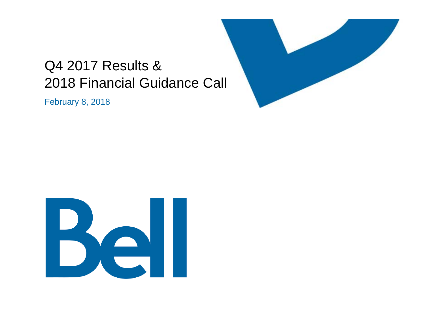## Q4 2017 Results & 2018 Financial Guidance Call

February 8, 2018



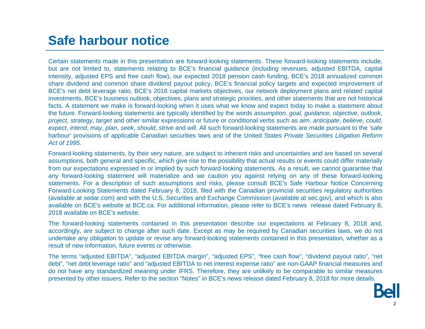## **Safe harbour notice**

Certain statements made in this presentation are forward-looking statements. These forward-looking statements include, but are not limited to, statements relating to BCE's financial guidance (including revenues, adjusted EBITDA, capital intensity, adjusted EPS and free cash flow), our expected 2018 pension cash funding, BCE's 2018 annualized common share dividend and common share dividend payout policy, BCE's financial policy targets and expected improvement of BCE's net debt leverage ratio, BCE's 2018 capital markets objectives, our network deployment plans and related capital investments, BCE's business outlook, objectives, plans and strategic priorities, and other statements that are not historical facts. A statement we make is forward-looking when it uses what we know and expect today to make <sup>a</sup> statement about the future. Forward-looking statements are typically identified by the words *assumption, goal, guidance, objective, outlook, project, strategy, target* and other similar expressions or future or conditional verbs such as *aim*, *anticipate*, *believe*, *could*, *expect*, *intend*, *may*, *plan*, *seek*, *should*, *strive* and *will*. All such forward-looking statements are made pursuant to the 'safe harbour' provisions of applicable Canadian securities laws and of the United States *Private Securities Litigation Reform Act of 1995*.

Forward-looking statements, by their very nature, are subject to inherent risks and uncertainties and are based on several assumptions, both general and specific, which give rise to the possibility that actual results or events could differ materially from our expectations expressed in or implied by such forward-looking statements. As <sup>a</sup> result, we cannot guarantee that any forward-looking statement will materialize and we caution you against relying on any of these forward-looking statements. For <sup>a</sup> description of such assumptions and risks, please consult BCE's Safe Harbour Notice Concerning Forward-Looking Statements dated February 8, 2018, filed with the Canadian provincial securities regulatory authorities (available at sedar.com) and with the U.S. Securities and Exchange Commission (available at sec.gov), and which is also available on BCE's website at BCE.ca. For additional information, please refer to BCE's news release dated February 8, 2018 available on BCE's website.

The forward-looking statements contained in this presentation describe our expectations at February 8, 2018 and, accordingly, are subject to change after such date. Except as may be required by Canadian securities laws, we do not undertake any obligation to update or revise any forward-looking statements contained in this presentation, whether as <sup>a</sup> result of new information, future events or otherwise.

The terms "adjusted EBITDA", "adjusted EBITDA margin", "adjusted EPS", "free cash flow", "dividend payout ratio", "net debt", "net debt leverage ratio" and "adjusted EBITDA to net interest expense ratio" are non-GAAP financial measures and do not have any standardized meaning under IFRS. Therefore, they are unlikely to be comparable to similar measures presented by other issuers. Refer to the section "Notes" in BCE's news release dated February 8, 2018 for more details.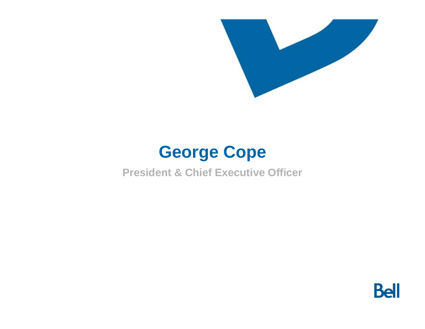

# **George Cope**

**President & Chief Executive Officer**

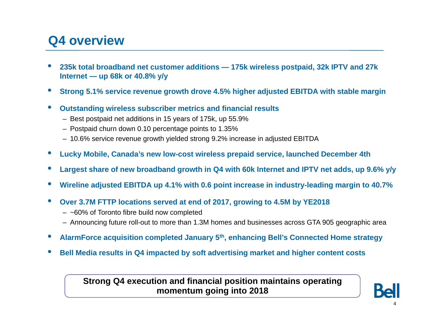## **Q4 overview**

- • **235k total broadband net customer additions — 175k wireless postpaid, 32k IPTV and 27k Internet — up 68k or 40.8% y/y**
- $\bullet$ **Strong 5.1% service revenue growth drove 4.5% higher adjusted EBITDA with stable margin**
- • **Outstanding wireless subscriber metrics and financial results**
	- Best postpaid net additions in 15 years of 175k, up 55.9%
	- Postpaid churn down 0.10 percentage points to 1.35%
	- 10.6% service revenue growth yielded strong 9.2% increase in adjusted EBITDA
- $\bullet$ **Lucky Mobile, Canada's new low-cost wireless prepaid service, launched December 4th**
- $\bullet$ **Largest share of new broadband growth in Q4 with 60k Internet and IPTV net adds, up 9.6% y/y**
- $\bullet$ **Wireline adjusted EBITDA up 4.1% with 0.6 point increase in industry-leading margin to 40.7%**
- $\bullet$  **Over 3.7M FTTP locations served at end of 2017, growing to 4.5M by YE2018**
	- ~60% of Toronto fibre build now completed
	- Announcing future roll-out to more than 1.3M homes and businesses across GTA 905 geographic area
- $\bullet$ **AlarmForce acquisition completed January 5th, enhancing Bell's Connected Home strategy**
- $\bullet$ **Bell Media results in Q4 impacted by soft advertising market and higher content costs**

### **Strong Q4 execution and financial position maintains operating momentum going into 2018**

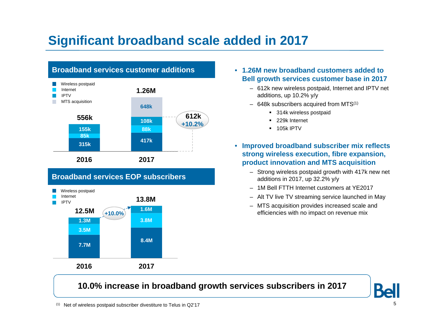## **Significant broadband scale added in 2017**



### **Broadband services EOP subscribers**



- **1.26M new broadband customers added to Bell growth services customer base in 2017**
	- 612k new wireless postpaid, Internet and IPTV net additions, up 10.2% y/y
	- $-$  648k subscribers acquired from MTS $^{\left(1\right)}$ 
		- 314k wireless postpaid
		- 229k Internet
		- 105k IPTV
- **Improved broadband subscriber mix reflects strong wireless execution, fibre expansion, product innovation and MTS acquisition**
	- Strong wireless postpaid growth with 417k new net additions in 2017, up 32.2% y/y
	- 1M Bell FTTH Internet customers at YE2017
	- Alt TV live TV streaming service launched in May
	- MTS acquisition provides increased scale and efficiencies with no impact on revenue mix

### **10.0% increase in broadband growth services subscribers in 2017**

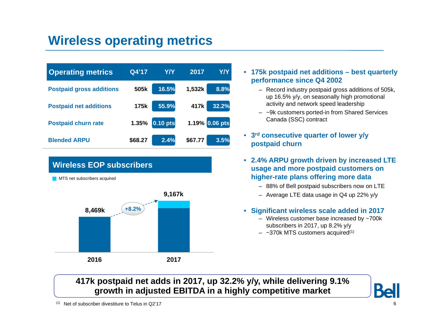## **Wireless operating metrics**

| <b>Operating metrics</b>        | Q4'17   | Y/Y        | 2017           | <b>Y/Y</b> |
|---------------------------------|---------|------------|----------------|------------|
| <b>Postpaid gross additions</b> | 505k    | 16.5%      | 1,532k         | 8.8%       |
| <b>Postpaid net additions</b>   | 175k    | 55.9%      | 417k           | 32.2%      |
| <b>Postpaid churn rate</b>      | 1.35%   | $0.10$ pts | 1.19% 0.06 pts |            |
| <b>Blended ARPU</b>             | \$68.27 | 2.4%       | \$67.77        | 3.5%       |



#### • **175k postpaid net additions – best quarterly performance since Q4 2002**

- Record industry postpaid gross additions of 505k, up 16.5% y/y, on seasonally high promotional activity and network speed leadership
- ~9k customers ported-in from Shared Services Canada (SSC) contract
- **3rd consecutive quarter of lower y/y postpaid churn**
- **2.4% ARPU growth driven by increased LTE usage and more postpaid customers on higher-rate plans offering more data**
	- 88% of Bell postpaid subscribers now on LTE
	- Average LTE data usage in Q4 up 22% y/y

#### • **Significant wireless scale added in 2017**

- Wireless customer base increased by ~700k subscribers in 2017, up 8.2% y/y
- $-$  ~370k MTS customers acquired $^{\text{\tiny{(1)}}}$

## **417k postpaid net adds in 2017, up 32.2% y/y, while delivering 9.1% growth in adjusted EBITDA in a highly competitive market**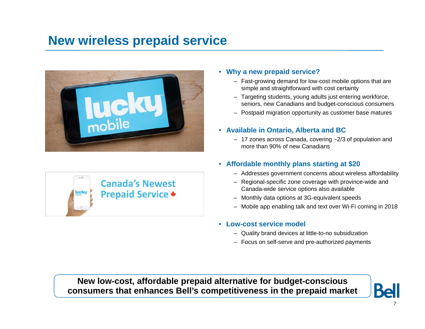## **New wireless prepaid service**





#### • **Why a new prepaid service?**

- Fast-growing demand for low-cost mobile options that are simple and straightforward with cost certainty
- Targeting students, young adults just entering workforce, seniors, new Canadians and budget-conscious consumers
- Postpaid migration opportunity as customer base matures

#### • **Available in Ontario, Alberta and BC**

– 17 zones across Canada, covering ~2/3 of population and more than 90% of new Canadians

#### • **Affordable monthly plans starting at \$20**

- Addresses government concerns about wireless affordability
- Regional-specific zone coverage with province-wide and Canada-wide service options also available
- Monthly data options at 3G-equivalent speeds
- Mobile app enabling talk and text over Wi-Fi coming in 2018

#### • **Low-cost service model**

- Quality brand devices at little-to-no subsidization
- Focus on self-serve and pre-authorized payments

**New low-cost, affordable prepaid alternative for budget-conscious consumers that enhances Bell's competitiveness in the prepaid market**

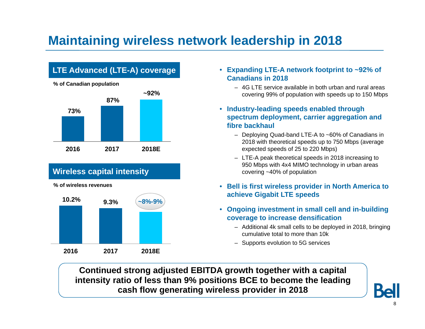## **Maintaining wireless network leadership in 2018**

## **LTE Advanced (LTE-A) coverage**



## **Wireless capital intensity**

**% of wireless revenues**



- **Expanding LTE-A network footprint to ~92% of Canadians in 2018**
	- 4G LTE service available in both urban and rural areas covering 99% of population with speeds up to 150 Mbps
- **Industry-leading speeds enabled through spectrum deployment, carrier aggregation and fibre backhaul**
	- Deploying Quad-band LTE-A to ~60% of Canadians in 2018 with theoretical speeds up to 750 Mbps (average expected speeds of 25 to 220 Mbps)
	- LTE-A peak theoretical speeds in 2018 increasing to 950 Mbps with 4x4 MIMO technology in urban areas covering ~40% of population
- **Bell is first wireless provider in North America to achieve Gigabit LTE speeds**
- **Ongoing investment in small cell and in-building coverage to increase densification**
	- Additional 4k small cells to be deployed in 2018, bringing cumulative total to more than 10k
	- Supports evolution to 5G services

**Continued strong adjusted EBITDA growth together with a capital intensity ratio of less than 9% positions BCE to become the leading cash flow generating wireless provider in 2018**

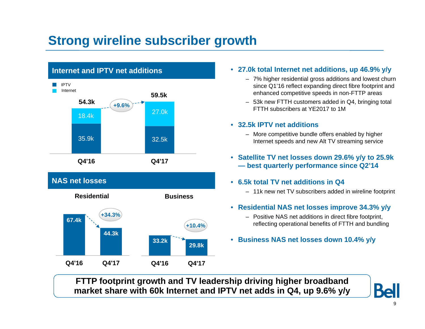## **Strong wireline subscriber growth**



#### • **27.0k total Internet net additions, up 46.9% y/y**

- 7% higher residential gross additions and lowest churn since Q1'16 reflect expanding direct fibre footprint and enhanced competitive speeds in non-FTTP areas
- 53k new FTTH customers added in Q4, bringing total FTTH subscribers at YE2017 to 1M

#### • **32.5k IPTV net additions**

- More competitive bundle offers enabled by higher Internet speeds and new Alt TV streaming service
- **Satellite TV net losses down 29.6% y/y to 25.9k — best quarterly performance since Q2'14**

#### • **6.5k total TV net additions in Q4**

- 11k new net TV subscribers added in wireline footprint
- **Residential NAS net losses improve 34.3% y/y**
	- Positive NAS net additions in direct fibre footprint, reflecting operational benefits of FTTH and bundling
- **Business NAS net losses down 10.4% y/y**

**FTTP footprint growth and TV leadership driving higher broadband market share with 60k Internet and IPTV net adds in Q4, up 9.6% y/y**

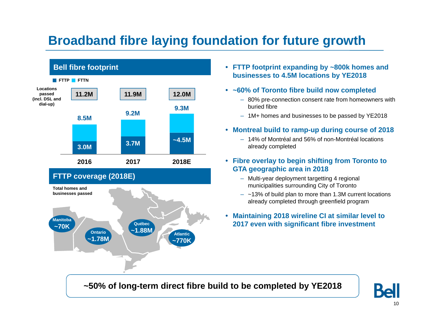## **Broadband fibre laying foundation for future growth**



- **FTTP footprint expanding by ~800k homes and businesses to 4.5M locations by YE2018**
- **~60% of Toronto fibre build now completed**
	- 80% pre-connection consent rate from homeowners with buried fibre
	- 1M+ homes and businesses to be passed by YE2018
- **Montreal build to ramp-up during course of 2018** 
	- 14% of Montréal and 56% of non-Montréal locations already completed
- **Fibre overlay to begin shifting from Toronto to GTA geographic area in 2018**
	- Multi-year deployment targetting 4 regional municipalities surrounding City of Toronto
	- $-$  ~13% of build plan to more than 1.3M current locations already completed through greenfield program
- • **Maintaining 2018 wireline CI at similar level to 2017 even with significant fibre investment**

**~50% of long-term direct fibre build to be completed by YE2018** 

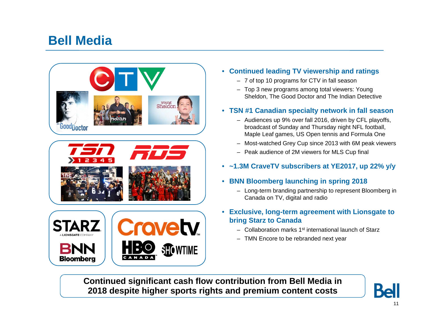## **Bell Media**



- **Continued leading TV viewership and ratings**
	- 7 of top 10 programs for CTV in fall season
	- Top 3 new programs among total viewers: Young Sheldon, The Good Doctor and The Indian Detective
- **TSN #1 Canadian specialty network in fall season**
	- Audiences up 9% over fall 2016, driven by CFL playoffs, broadcast of Sunday and Thursday night NFL football, Maple Leaf games, US Open tennis and Formula One
	- Most-watched Grey Cup since 2013 with 6M peak viewers
	- Peak audience of 2M viewers for MLS Cup final
- **~1.3M CraveTV subscribers at YE2017, up 22% y/y**
- **BNN Bloomberg launching in spring 2018**
	- Long-term branding partnership to represent Bloomberg in Canada on TV, digital and radio
- **Exclusive, long-term agreement with Lionsgate to bring Starz to Canada**
	- Collaboration marks 1st international launch of Starz
	- TMN Encore to be rebranded next year

**Continued significant cash flow contribution from Bell Media in 2018 despite higher sports rights and premium content costs**

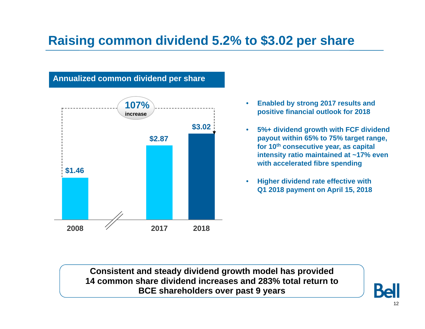## **Raising common dividend 5.2% to \$3.02 per share**



- • **Enabled by strong 2017 results and positive financial outlook for 2018**
- • **5%+ dividend growth with FCF dividend payout within 65% to 75% target range, for 10th consecutive year, as capital intensity ratio maintained at ~17% even with accelerated fibre spending**
- • **Higher dividend rate effective with Q1 2018 payment on April 15, 2018**

**Consistent and steady dividend growth model has provided 14 common share dividend increases and 283% total return toBCE shareholders over past 9 years**

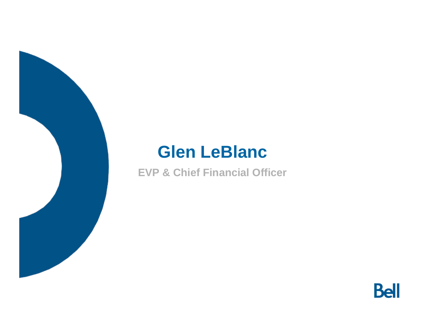# **Glen LeBlanc**

**EVP & Chief Financial Officer**

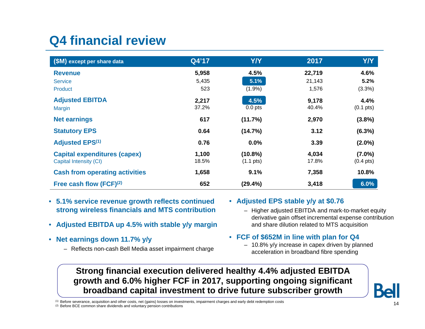## **Q4 financial review**

| (\$M) except per share data           | Q4'17 | <b>Y/Y</b>          | 2017   | <b>Y/Y</b>          |
|---------------------------------------|-------|---------------------|--------|---------------------|
| <b>Revenue</b>                        | 5,958 | 4.5%                | 22,719 | 4.6%                |
| <b>Service</b>                        | 5,435 | 5.1%                | 21,143 | 5.2%                |
| Product                               | 523   | $(1.9\%)$           | 1,576  | (3.3%)              |
| <b>Adjusted EBITDA</b>                | 2,217 | 4.5%                | 9,178  | 4.4%                |
| <b>Margin</b>                         | 37.2% | $0.0$ pts           | 40.4%  | $(0.1 \text{ pts})$ |
| <b>Net earnings</b>                   | 617   | (11.7%)             | 2,970  | (3.8%)              |
| <b>Statutory EPS</b>                  | 0.64  | (14.7%)             | 3.12   | $(6.3\%)$           |
| <b>Adjusted EPS(1)</b>                | 0.76  | 0.0%                | 3.39   | $(2.0\%)$           |
| <b>Capital expenditures (capex)</b>   | 1,100 | $(10.8\%)$          | 4,034  | $(7.0\%)$           |
| Capital Intensity (CI)                | 18.5% | $(1.1 \text{ pts})$ | 17.8%  | $(0.4 \text{ pts})$ |
| <b>Cash from operating activities</b> | 1,658 | 9.1%                | 7,358  | 10.8%               |
| Free cash flow $(FCF)^{(2)}$          | 652   | (29.4%)             | 3,418  | 6.0%                |

- **5.1% service revenue growth reflects continued strong wireless financials and MTS contribution**
- **Adjusted EBITDA up 4.5% with stable y/y margin**
- **Net earnings down 11.7% y/y**
	- Reflects non-cash Bell Media asset impairment charge

#### • **Adjusted EPS stable y/y at \$0.76**

– Higher adjusted EBITDA and mark-to-market equity derivative gain offset incremental expense contribution and share dilution related to MTS acquisition

#### • **FCF of \$652M in line with plan for Q4**

– 10.8% y/y increase in capex driven by planned acceleration in broadband fibre spending

## **Strong financial execution delivered healthy 4.4% adjusted EBITDA growth and 6.0% higher FCF in 2017, supporting ongoing significant broadband capital investment to drive future subscriber growth**

(1) Before severance, acquisition and other costs, net (gains) losses on investments, impairment charges and early debt redemption costs

(2) Before BCE common share dividends and voluntary pension contributions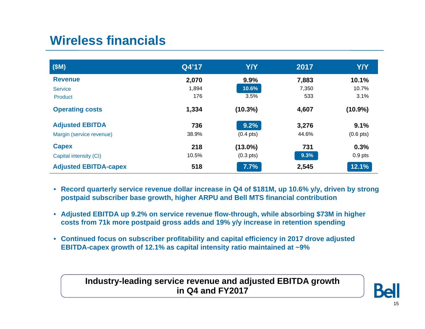## **Wireless financials**

| (SM)                         | Q4'17 | Y/Y                 | 2017  | <b>Y/Y</b>          |
|------------------------------|-------|---------------------|-------|---------------------|
| <b>Revenue</b>               | 2,070 | 9.9%                | 7,883 | 10.1%               |
| <b>Service</b>               | 1,894 | 10.6%               | 7,350 | 10.7%               |
| Product                      | 176   | 3.5%                | 533   | 3.1%                |
| <b>Operating costs</b>       | 1,334 | $(10.3\%)$          | 4,607 | $(10.9\%)$          |
| <b>Adjusted EBITDA</b>       | 736   | 9.2%                | 3,276 | 9.1%                |
| Margin (service revenue)     | 38.9% | $(0.4 \text{ pts})$ | 44.6% | $(0.6 \text{ pts})$ |
| <b>Capex</b>                 | 218   | $(13.0\%)$          | 731   | 0.3%                |
| Capital intensity (CI)       | 10.5% | $(0.3 \text{ pts})$ | 9.3%  | $0.9$ pts           |
| <b>Adjusted EBITDA-capex</b> | 518   | 7.7%                | 2,545 | 12.1%               |

- **Record quarterly service revenue dollar increase in Q4 of \$181M, up 10.6% y/y, driven by strong postpaid subscriber base growth, higher ARPU and Bell MTS financial contribution**
- **Adjusted EBITDA up 9.2% on service revenue flow-through, while absorbing \$73M in higher costs from 71k more postpaid gross adds and 19% y/y increase in retention spending**
- **Continued focus on subscriber profitability and capital efficiency in 2017 drove adjusted EBITDA-capex growth of 12.1% as capital intensity ratio maintained at ~9%**

### **Industry-leading service revenue and adjusted EBITDA growth in Q4 and FY2017**

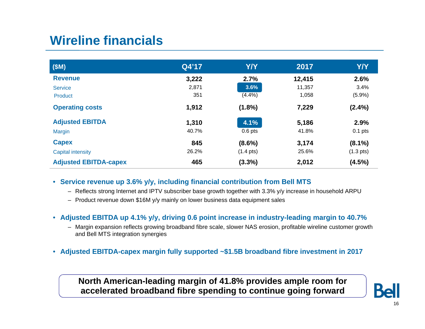## **Wireline financials**

| (SM)                         | Q4'17 | <b>Y/Y</b>          | 2017   | <b>Y/Y</b>          |
|------------------------------|-------|---------------------|--------|---------------------|
| <b>Revenue</b>               | 3,222 | 2.7%                | 12,415 | 2.6%                |
| <b>Service</b>               | 2,871 | 3.6%                | 11,357 | 3.4%                |
| Product                      | 351   | (4.4%)              | 1,058  | (5.9%)              |
| <b>Operating costs</b>       | 1,912 | $(1.8\%)$           | 7,229  | $(2.4\%)$           |
| <b>Adjusted EBITDA</b>       | 1,310 | 4.1%                | 5,186  | 2.9%                |
| <b>Margin</b>                | 40.7% | $0.6$ pts           | 41.8%  | $0.1$ pts           |
| <b>Capex</b>                 | 845   | $(8.6\%)$           | 3,174  | $(8.1\%)$           |
| <b>Capital intensity</b>     | 26.2% | $(1.4 \text{ pts})$ | 25.6%  | $(1.3 \text{ pts})$ |
| <b>Adjusted EBITDA-capex</b> | 465   | (3.3%)              | 2,012  | (4.5%)              |

- **Service revenue up 3.6% y/y, including financial contribution from Bell MTS**
	- Reflects strong Internet and IPTV subscriber base growth together with 3.3% y/y increase in household ARPU
	- Product revenue down \$16M y/y mainly on lower business data equipment sales
- **Adjusted EBITDA up 4.1% y/y, driving 0.6 point increase in industry-leading margin to 40.7%**
	- Margin expansion reflects growing broadband fibre scale, slower NAS erosion, profitable wireline customer growth and Bell MTS integration synergies
- **Adjusted EBITDA-capex margin fully supported ~\$1.5B broadband fibre investment in 2017**

### **North American-leading margin of 41.8% provides ample room for accelerated broadband fibre spending to continue going forward**

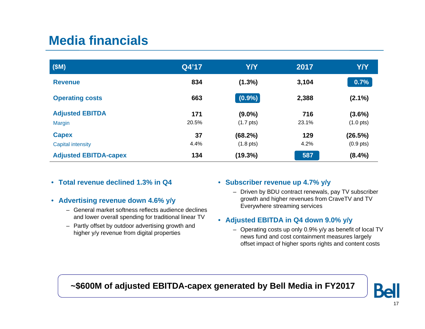## **Media financials**

| (SM)                                     | Q4'17        | <b>Y/Y</b>                       | 2017         | <b>Y/Y</b>                       |
|------------------------------------------|--------------|----------------------------------|--------------|----------------------------------|
| <b>Revenue</b>                           | 834          | $(1.3\%)$                        | 3,104        | 0.7%                             |
| <b>Operating costs</b>                   | 663          | $(0.9\%)$                        | 2,388        | $(2.1\%)$                        |
| <b>Adjusted EBITDA</b><br>Margin         | 171<br>20.5% | $(9.0\%)$<br>$(1.7 \text{ pts})$ | 716<br>23.1% | $(3.6\%)$<br>$(1.0 \text{ pts})$ |
| <b>Capex</b><br><b>Capital intensity</b> | 37<br>4.4%   | (68.2%)<br>$(1.8 \text{ pts})$   | 129<br>4.2%  | (26.5%)<br>$(0.9 \text{ pts})$   |
| <b>Adjusted EBITDA-capex</b>             | 134          | (19.3%)                          | 587          | $(8.4\%)$                        |

- **Total revenue declined 1.3% in Q4**
- **Advertising revenue down 4.6% y/y**
	- General market softness reflects audience declines and lower overall spending for traditional linear TV
	- Partly offset by outdoor advertising growth and higher y/y revenue from digital properties

#### • **Subscriber revenue up 4.7% y/y**

– Driven by BDU contract renewals, pay TV subscriber growth and higher revenues from CraveTV and TV Everywhere streaming services

#### • **Adjusted EBITDA in Q4 down 9.0% y/y**

– Operating costs up only 0.9% y/y as benefit of local TV news fund and cost containment measures largely offset impact of higher sports rights and content costs

## **~\$600M of adjusted EBITDA-capex generated by Bell Media in FY2017**

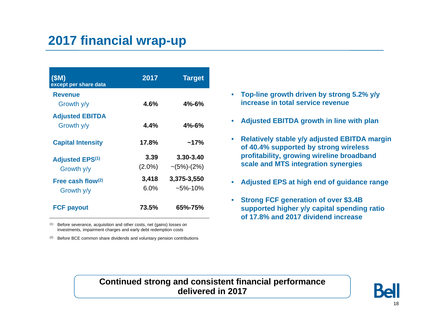## **2017 financial wrap-up**

| (SM)<br>except per share data        | 2017              | <b>Target</b>                 |
|--------------------------------------|-------------------|-------------------------------|
| <b>Revenue</b><br>Growth y/y         | 4.6%              | $4\% - 6\%$                   |
| <b>Adjusted EBITDA</b><br>Growth y/y | 4.4%              | $4\% - 6\%$                   |
| <b>Capital Intensity</b>             | 17.8%             | $~17\%$                       |
| <b>Adjusted EPS(1)</b><br>Growth y/y | 3.39<br>$(2.0\%)$ | 3.30-3.40<br>$\sim$ (5%)-(2%) |
| Free cash flow $(2)$<br>Growth y/y   | 3,418<br>6.0%     | 3,375-3,550<br>$~5\%$ -10%    |
| <b>FCF payout</b>                    | 73.5%             | 65%-75%                       |

(1) Before severance, acquisition and other costs, net (gains) losses on investments, impairment charges and early debt redemption costs

(2) Before BCE common share dividends and voluntary pension contributions

- **Top-line growth driven by strong 5.2% y/y increase in total service revenue**
- **Adjusted EBITDA growth in line with plan**
- **Relatively stable y/y adjusted EBITDA margin of 40.4% supported by strong wireless profitability, growing wireline broadband scale and MTS integration synergies**
- •**Adjusted EPS at high end of guidance range**
- **Strong FCF generation of over \$3.4B supported higher y/y capital spending ratio of 17.8% and 2017 dividend increase**

## **Continued strong and consistent financial performance delivered in 2017**

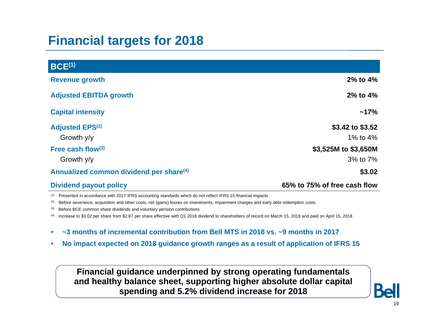## **Financial targets for 2018**

| <b>BCE(1)</b>                                       |                                  |
|-----------------------------------------------------|----------------------------------|
| <b>Revenue growth</b>                               | $2\%$ to $4\%$                   |
| <b>Adjusted EBITDA growth</b>                       | $2\%$ to $4\%$                   |
| <b>Capital intensity</b>                            | $~17\%$                          |
| <b>Adjusted EPS(2)</b><br>Growth y/y                | \$3.42 to \$3.52<br>1% to $4%$   |
| Free cash flow $(3)$<br>Growth y/y                  | \$3,525M to \$3,650M<br>3% to 7% |
| Annualized common dividend per share <sup>(4)</sup> | \$3.02                           |

**Dividend payout policy 65% to 75% of free cash flow**

(1) Presented in accordance with 2017 IFRS accounting standards which do not reflect IFRS 15 financial impacts

(2) Before severance, acquisition and other costs, net (gains) losses on investments, impairment charges and early debt redemption costs

(3) Before BCE common share dividends and voluntary pension contributions

(4) Increase to \$3.02 per share from \$2.87 per share effective with Q1 2018 dividend to shareholders of record on March 15, 2018 and paid on April 15, 2018

- $\bullet$ **~3 months of incremental contribution from Bell MTS in 2018 vs. ~9 months in 2017**
- •**No impact expected on 2018 guidance growth ranges as a result of application of IFRS 15**

### **Financial guidance underpinned by strong operating fundamentals and healthy balance sheet, supporting higher absolute dollar capital spending and 5.2% dividend increase for 2018**

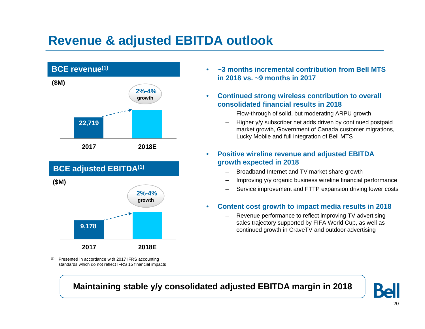## **Revenue & adjusted EBITDA outlook**





<sup>(1)</sup> Presented in accordance with 2017 IFRS accounting standards which do not reflect IFRS 15 financial impacts

- • **~3 months incremental contribution from Bell MTS in 2018 vs. ~9 months in 2017**
- $\bullet$  **Continued strong wireless contribution to overall consolidated financial results in 2018**
	- Flow-through of solid, but moderating ARPU growth
	- Higher y/y subscriber net adds driven by continued postpaid market growth, Government of Canada customer migrations, Lucky Mobile and full integration of Bell MTS

#### $\bullet$  **Positive wireline revenue and adjusted EBITDA growth expected in 2018**

- Broadband Internet and TV market share growth
- Improving y/y organic business wireline financial performance
- Service improvement and FTTP expansion driving lower costs
- • **Content cost growth to impact media results in 2018**
	- Revenue performance to reflect improving TV advertising sales trajectory supported by FIFA World Cup, as well as continued growth in CraveTV and outdoor advertising

**Maintaining stable y/y consolidated adjusted EBITDA margin in 2018**

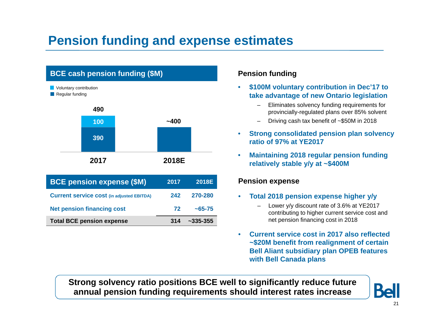## **Pension funding and expense estimates**



| <b>BCE pension expense (\$M)</b>                 | 2017 | <b>2018E</b>  |
|--------------------------------------------------|------|---------------|
| <b>Current service cost (in adjusted EBITDA)</b> | 242  | 270-280       |
| <b>Net pension financing cost</b>                | 72   | $~1.65 - 75$  |
| <b>Total BCE pension expense</b>                 | 314  | $~2335 - 355$ |

### **Pension funding**

- • **\$100M voluntary contribution in Dec'17 to take advantage of new Ontario legislation**
	- Eliminates solvency funding requirements for provincially-regulated plans over 85% solvent
	- –Driving cash tax benefit of ~\$50M in 2018
- • **Strong consolidated pension plan solvency ratio of 97% at YE2017**
- • **Maintaining 2018 regular pension funding relatively stable y/y at ~\$400M**

#### **Pension expense**

- • **Total 2018 pension expense higher y/y**
	- – Lower y/y discount rate of 3.6% at YE2017 contributing to higher current service cost and net pension financing cost in 2018
- $\bullet$  **Current service cost in 2017 also reflected ~\$20M benefit from realignment of certain Bell Aliant subsidiary plan OPEB features with Bell Canada plans**

**Strong solvency ratio positions BCE well to significantly reduce future annual pension funding requirements should interest rates increase**

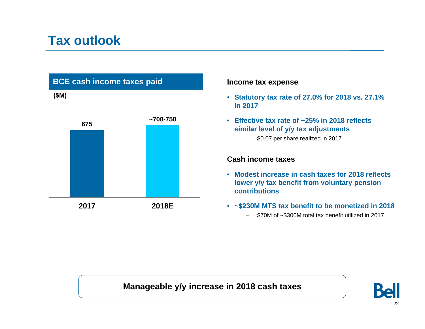## **Tax outlook**



#### **Income tax expense**

- **Statutory tax rate of 27.0% for 2018 vs. 27.1% in 2017**
- **Effective tax rate of ~25% in 2018 reflects similar level of y/y tax adjustments**
	- \$0.07 per share realized in 2017

#### **Cash income taxes**

- **Modest increase in cash taxes for 2018 reflects lower y/y tax benefit from voluntary pension contributions**
- **~\$230M MTS tax benefit to be monetized in 2018**
	- –\$70M of ~\$300M total tax benefit utilized in 2017

## **Manageable y/y increase in 2018 cash taxes**

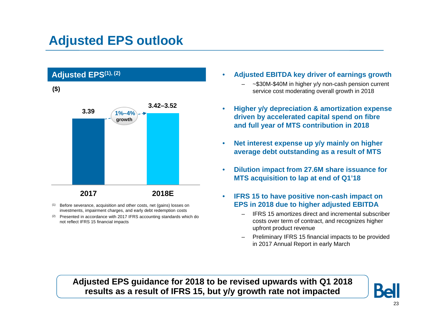## **Adjusted EPS outlook**



- Before severance, acquisition and other costs, net (gains) losses on investments, impairment charges, and early debt redemption costs
- <sup>(2)</sup> Presented in accordance with 2017 IFRS accounting standards which do not reflect IFRS 15 financial impacts
- • **Adjusted EBITDA key driver of earnings growth**
	- ~\$30M-\$40M in higher y/y non-cash pension current service cost moderating overall growth in 2018
- • **Higher y/y depreciation & amortization expense driven by accelerated capital spend on fibre and full year of MTS contribution in 2018**
- • **Net interest expense up y/y mainly on higher average debt outstanding as a result of MTS**
- • **Dilution impact from 27.6M share issuance for MTS acquisition to lap at end of Q1'18**
- • **IFRS 15 to have positive non-cash impact on EPS in 2018 due to higher adjusted EBITDA**
	- IFRS 15 amortizes direct and incremental subscriber costs over term of contract, and recognizes higher upfront product revenue
	- Preliminary IFRS 15 financial impacts to be provided in 2017 Annual Report in early March

**Adjusted EPS guidance for 2018 to be revised upwards with Q1 2018 results as a result of IFRS 15, but y/y growth rate not impacted**

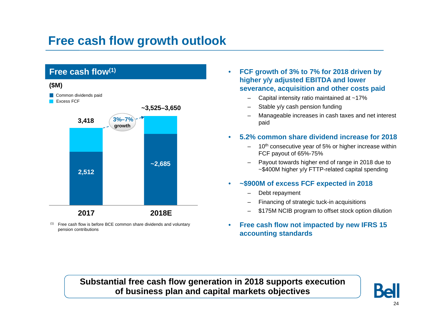## **Free cash flow growth outlook**



 $(1)$  Free cash flow is before BCE common share dividends and voluntary pension contributions

- $\bullet$  **FCF growth of 3% to 7% for 2018 driven by higher y/y adjusted EBITDA and lower severance, acquisition and other costs paid**
	- Capital intensity ratio maintained at ~17%
	- Stable y/y cash pension funding
	- Manageable increases in cash taxes and net interest paid

#### •**5.2% common share dividend increase for 2018**

- 10<sup>th</sup> consecutive year of 5% or higher increase within FCF payout of 65%-75%
- Payout towards higher end of range in 2018 due to ~\$400M higher y/y FTTP-related capital spending

#### •**~\$900M of excess FCF expected in 2018**

- Debt repayment
- Financing of strategic tuck-in acquisitions
- \$175M NCIB program to offset stock option dilution
- $\bullet$  **Free cash flow not impacted by new IFRS 15 accounting standards**

**Substantial free cash flow generation in 2018 supports execution of business plan and capital markets objectives**